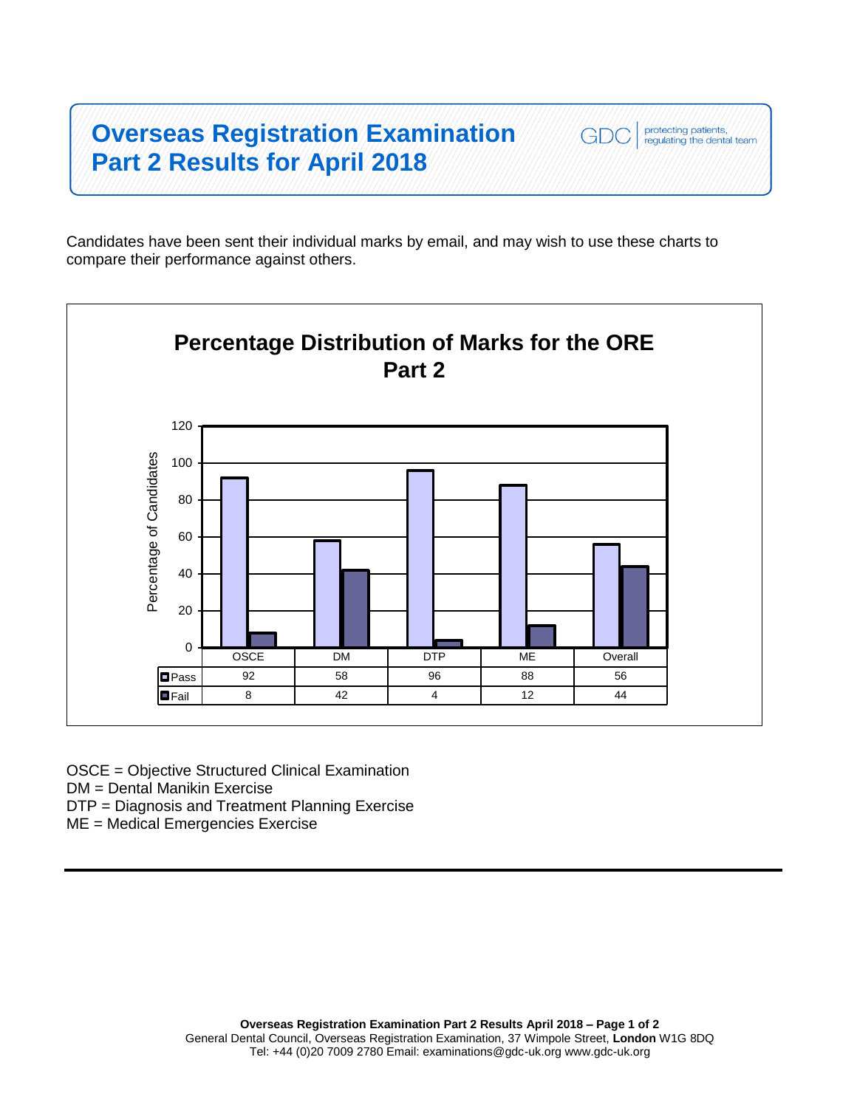## **Overseas Registration Examination Part 2 Results for April 2018**

Candidates have been sent their individual marks by email, and may wish to use these charts to compare their performance against others.

protecting patients,<br>regulating the dental team

GDC



OSCE = Objective Structured Clinical Examination

DM = Dental Manikin Exercise

DTP = Diagnosis and Treatment Planning Exercise

ME = Medical Emergencies Exercise